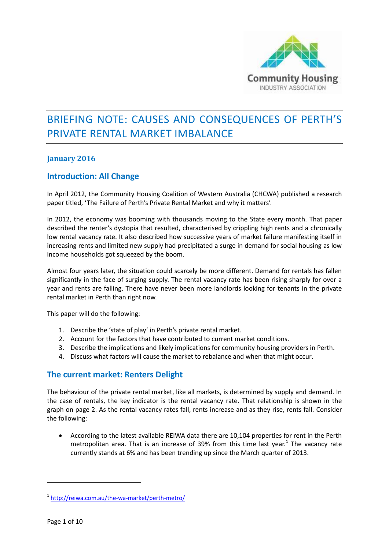

# BRIEFING NOTE: CAUSES AND CONSEQUENCES OF PERTH'S PRIVATE RENTAL MARKET IMBALANCE

#### **January 2016**

#### **Introduction: All Change**

In April 2012, the Community Housing Coalition of Western Australia (CHCWA) published a research paper titled, 'The Failure of Perth's Private Rental Market and why it matters'.

In 2012, the economy was booming with thousands moving to the State every month. That paper described the renter's dystopia that resulted, characterised by crippling high rents and a chronically low rental vacancy rate. It also described how successive years of market failure manifesting itself in increasing rents and limited new supply had precipitated a surge in demand for social housing as low income households got squeezed by the boom.

Almost four years later, the situation could scarcely be more different. Demand for rentals has fallen significantly in the face of surging supply. The rental vacancy rate has been rising sharply for over a year and rents are falling. There have never been more landlords looking for tenants in the private rental market in Perth than right now.

This paper will do the following:

- 1. Describe the 'state of play' in Perth's private rental market.
- 2. Account for the factors that have contributed to current market conditions.
- 3. Describe the implications and likely implications for community housing providers in Perth.
- 4. Discuss what factors will cause the market to rebalance and when that might occur.

# **The current market: Renters Delight**

The behaviour of the private rental market, like all markets, is determined by supply and demand. In the case of rentals, the key indicator is the rental vacancy rate. That relationship is shown in the graph on page 2. As the rental vacancy rates fall, rents increase and as they rise, rents fall. Consider the following:

 According to the latest available REIWA data there are 10,104 properties for rent in the Perth metropolitan area. That is an increase of 39% from this time last year.<sup>1</sup> The vacancy rate currently stands at 6% and has been trending up since the March quarter of 2013.

<sup>1</sup> <http://reiwa.com.au/the-wa-market/perth-metro/>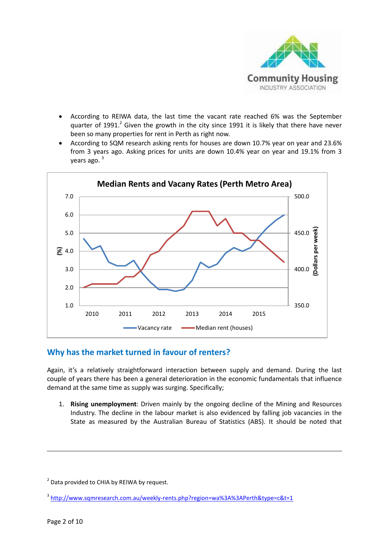

- According to REIWA data, the last time the vacant rate reached 6% was the September quarter of 1991. $^2$  Given the growth in the city since 1991 it is likely that there have never been so many properties for rent in Perth as right now.
- According to SQM research asking rents for houses are down 10.7% year on year and 23.6% from 3 years ago. Asking prices for units are down 10.4% year on year and 19.1% from 3 years ago.<sup>3</sup>



# **Why has the market turned in favour of renters?**

Again, it's a relatively straightforward interaction between supply and demand. During the last couple of years there has been a general deterioration in the economic fundamentals that influence demand at the same time as supply was surging. Specifically;

1. **Rising unemployment**: Driven mainly by the ongoing decline of the Mining and Resources Industry. The decline in the labour market is also evidenced by falling job vacancies in the State as measured by the Australian Bureau of Statistics (ABS). It should be noted that

<sup>&</sup>lt;sup>2</sup> Data provided to CHIA by REIWA by request.

<sup>&</sup>lt;sup>3</sup> <http://www.sqmresearch.com.au/weekly-rents.php?region=wa%3A%3APerth&type=c&t=1>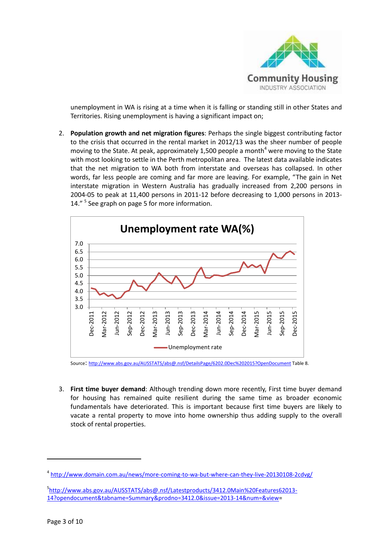

unemployment in WA is rising at a time when it is falling or standing still in other States and Territories. Rising unemployment is having a significant impact on;

2. **Population growth and net migration figures**: Perhaps the single biggest contributing factor to the crisis that occurred in the rental market in 2012/13 was the sheer number of people moving to the State. At peak, approximately 1,500 people a month<sup>4</sup> were moving to the State with most looking to settle in the Perth metropolitan area. The latest data available indicates that the net migration to WA both from interstate and overseas has collapsed. In other words, far less people are coming and far more are leaving. For example, "The gain in Net interstate migration in Western Australia has gradually increased from 2,200 persons in 2004-05 to peak at 11,400 persons in 2011-12 before decreasing to 1,000 persons in 2013- 14."<sup>5</sup> See graph on page 5 for more information.



Source: <http://www.abs.gov.au/AUSSTATS/abs@.nsf/DetailsPage/6202.0Dec%202015?OpenDocument> Table 8.

3. **First time buyer demand**: Although trending down more recently, First time buyer demand for housing has remained quite resilient during the same time as broader economic fundamentals have deteriorated. This is important because first time buyers are likely to vacate a rental property to move into home ownership thus adding supply to the overall stock of rental properties.

<sup>&</sup>lt;sup>4</sup> <http://www.domain.com.au/news/more-coming-to-wa-but-where-can-they-live-20130108-2cdvg/>

<sup>5</sup> [http://www.abs.gov.au/AUSSTATS/abs@.nsf/Latestproducts/3412.0Main%20Features62013-](http://www.abs.gov.au/AUSSTATS/abs@.nsf/Latestproducts/3412.0Main%20Features62013-14?opendocument&tabname=Summary&prodno=3412.0&issue=2013-14&num=&view) [14?opendocument&tabname=Summary&prodno=3412.0&issue=2013-14&num=&view=](http://www.abs.gov.au/AUSSTATS/abs@.nsf/Latestproducts/3412.0Main%20Features62013-14?opendocument&tabname=Summary&prodno=3412.0&issue=2013-14&num=&view)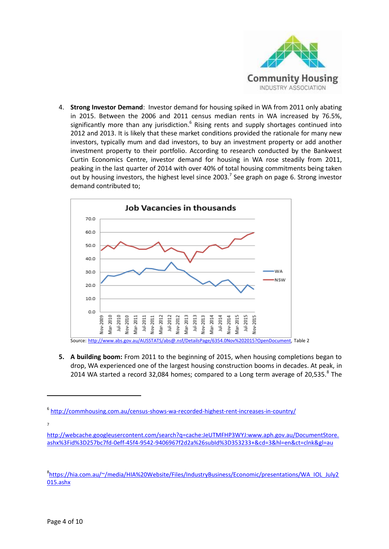

4. **Strong Investor Demand**: Investor demand for housing spiked in WA from 2011 only abating in 2015. Between the 2006 and 2011 census median rents in WA increased by 76.5%, significantly more than any jurisdiction.<sup>6</sup> Rising rents and supply shortages continued into 2012 and 2013. It is likely that these market conditions provided the rationale for many new investors, typically mum and dad investors, to buy an investment property or add another investment property to their portfolio. According to research conducted by the Bankwest Curtin Economics Centre, investor demand for housing in WA rose steadily from 2011, peaking in the last quarter of 2014 with over 40% of total housing commitments being taken out by housing investors, the highest level since 2003.<sup>7</sup> See graph on page 6. Strong investor demand contributed to;



**5. A building boom:** From 2011 to the beginning of 2015, when housing completions began to drop, WA experienced one of the largest housing construction booms in decades. At peak, in 2014 WA started a record 32,084 homes; compared to a Long term average of 20,535. $8$  The

7

<sup>6</sup> <http://commhousing.com.au/census-shows-wa-recorded-highest-rent-increases-in-country/>

[http://webcache.googleusercontent.com/search?q=cache:JeUTMFHP3WYJ:www.aph.gov.au/DocumentStore.](http://webcache.googleusercontent.com/search?q=cache:JeUTMFHP3WYJ:www.aph.gov.au/DocumentStore.ashx%3Fid%3D257bc7fd-0eff-45f4-9542-9406967f2d2a%26subId%3D353233+&cd=3&hl=en&ct=clnk&gl=au) [ashx%3Fid%3D257bc7fd-0eff-45f4-9542-9406967f2d2a%26subId%3D353233+&cd=3&hl=en&ct=clnk&gl=au](http://webcache.googleusercontent.com/search?q=cache:JeUTMFHP3WYJ:www.aph.gov.au/DocumentStore.ashx%3Fid%3D257bc7fd-0eff-45f4-9542-9406967f2d2a%26subId%3D353233+&cd=3&hl=en&ct=clnk&gl=au)

<sup>8</sup> [https://hia.com.au/~/media/HIA%20Website/Files/IndustryBusiness/Economic/presentations/WA\\_IOL\\_July2](https://hia.com.au/~/media/HIA%20Website/Files/IndustryBusiness/Economic/presentations/WA_IOL_July2015.ashx) [015.ashx](https://hia.com.au/~/media/HIA%20Website/Files/IndustryBusiness/Economic/presentations/WA_IOL_July2015.ashx)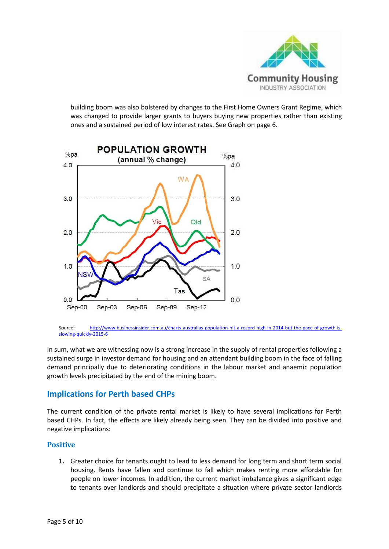

building boom was also bolstered by changes to the First Home Owners Grant Regime, which was changed to provide larger grants to buyers buying new properties rather than existing ones and a sustained period of low interest rates. See Graph on page 6.



Source: [http://www.businessinsider.com.au/charts-australias-population-hit-a-record-high-in-2014-but-the-pace-of-growth-is](http://www.businessinsider.com.au/charts-australias-population-hit-a-record-high-in-2014-but-the-pace-of-growth-is-slowing-quickly-2015-6)[slowing-quickly-2015-6](http://www.businessinsider.com.au/charts-australias-population-hit-a-record-high-in-2014-but-the-pace-of-growth-is-slowing-quickly-2015-6)

In sum, what we are witnessing now is a strong increase in the supply of rental properties following a sustained surge in investor demand for housing and an attendant building boom in the face of falling demand principally due to deteriorating conditions in the labour market and anaemic population growth levels precipitated by the end of the mining boom.

# **Implications for Perth based CHPs**

The current condition of the private rental market is likely to have several implications for Perth based CHPs. In fact, the effects are likely already being seen. They can be divided into positive and negative implications:

#### **Positive**

**1.** Greater choice for tenants ought to lead to less demand for long term and short term social housing. Rents have fallen and continue to fall which makes renting more affordable for people on lower incomes. In addition, the current market imbalance gives a significant edge to tenants over landlords and should precipitate a situation where private sector landlords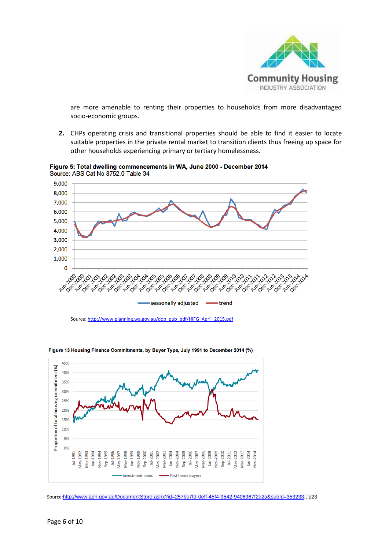

are more amenable to renting their properties to households from more disadvantaged socio-economic groups.

**2.** CHPs operating crisis and transitional properties should be able to find it easier to locate suitable properties in the private rental market to transition clients thus freeing up space for other households experiencing primary or tertiary homelessness.



Figure 5: Total dwelling commencements in WA, June 2000 - December 2014 Source: ABS Cat No 8752.0 Table 34



Figure 13 Housing Finance Commitments, by Buyer Type, July 1991 to December 2014 (%)

Source[: http://www.planning.wa.gov.au/dop\\_pub\\_pdf/HIFG\\_April\\_2015.pdf](http://www.planning.wa.gov.au/dop_pub_pdf/HIFG_April_2015.pdf)

Source:[http://www.aph.gov.au/DocumentStore.ashx?id=257bc7fd-0eff-45f4-9542-9406967f2d2a&subId=353233.,](http://www.aph.gov.au/DocumentStore.ashx?id=257bc7fd-0eff-45f4-9542-9406967f2d2a&subId=353233) p23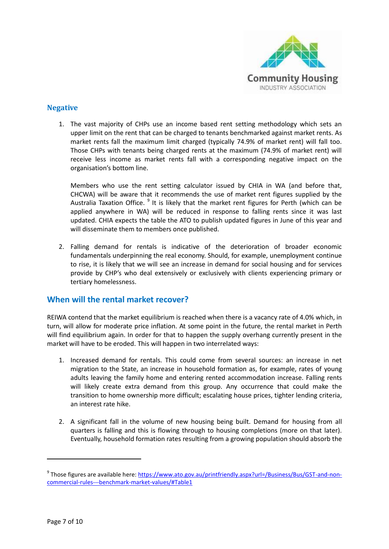

#### **Negative**

1. The vast majority of CHPs use an income based rent setting methodology which sets an upper limit on the rent that can be charged to tenants benchmarked against market rents. As market rents fall the maximum limit charged (typically 74.9% of market rent) will fall too. Those CHPs with tenants being charged rents at the maximum (74.9% of market rent) will receive less income as market rents fall with a corresponding negative impact on the organisation's bottom line.

Members who use the rent setting calculator issued by CHIA in WA (and before that, CHCWA) will be aware that it recommends the use of market rent figures supplied by the Australia Taxation Office. <sup>9</sup> It is likely that the market rent figures for Perth (which can be applied anywhere in WA) will be reduced in response to falling rents since it was last updated. CHIA expects the table the ATO to publish updated figures in June of this year and will disseminate them to members once published.

2. Falling demand for rentals is indicative of the deterioration of broader economic fundamentals underpinning the real economy. Should, for example, unemployment continue to rise, it is likely that we will see an increase in demand for social housing and for services provide by CHP's who deal extensively or exclusively with clients experiencing primary or tertiary homelessness.

# **When will the rental market recover?**

REIWA contend that the market equilibrium is reached when there is a vacancy rate of 4.0% which, in turn, will allow for moderate price inflation. At some point in the future, the rental market in Perth will find equilibrium again. In order for that to happen the supply overhang currently present in the market will have to be eroded. This will happen in two interrelated ways:

- 1. Increased demand for rentals. This could come from several sources: an increase in net migration to the State, an increase in household formation as, for example, rates of young adults leaving the family home and entering rented accommodation increase. Falling rents will likely create extra demand from this group. Any occurrence that could make the transition to home ownership more difficult; escalating house prices, tighter lending criteria, an interest rate hike.
- 2. A significant fall in the volume of new housing being built. Demand for housing from all quarters is falling and this is flowing through to housing completions (more on that later). Eventually, household formation rates resulting from a growing population should absorb the

<sup>&</sup>lt;sup>9</sup> Those figures are available here: <u>https://www.ato.gov.au/printfriendly.aspx?url=/Business/Bus/GST-and-non-</u> [commercial-rules---benchmark-market-values/#Table1](https://www.ato.gov.au/printfriendly.aspx?url=/Business/Bus/GST-and-non-commercial-rules---benchmark-market-values/#Table1)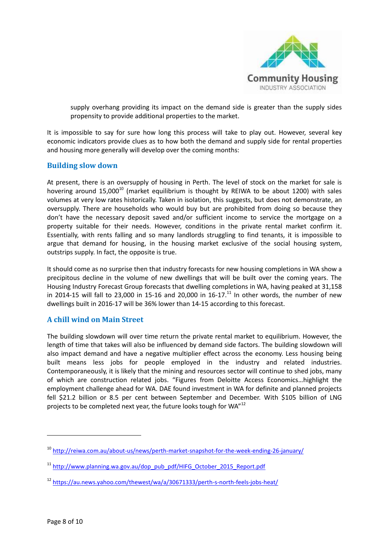

supply overhang providing its impact on the demand side is greater than the supply sides propensity to provide additional properties to the market.

It is impossible to say for sure how long this process will take to play out. However, several key economic indicators provide clues as to how both the demand and supply side for rental properties and housing more generally will develop over the coming months:

#### **Building slow down**

At present, there is an oversupply of housing in Perth. The level of stock on the market for sale is hovering around  $15,000^{10}$  (market equilibrium is thought by REIWA to be about 1200) with sales volumes at very low rates historically. Taken in isolation, this suggests, but does not demonstrate, an oversupply. There are households who would buy but are prohibited from doing so because they don't have the necessary deposit saved and/or sufficient income to service the mortgage on a property suitable for their needs. However, conditions in the private rental market confirm it. Essentially, with rents falling and so many landlords struggling to find tenants, it is impossible to argue that demand for housing, in the housing market exclusive of the social housing system, outstrips supply. In fact, the opposite is true.

It should come as no surprise then that industry forecasts for new housing completions in WA show a precipitous decline in the volume of new dwellings that will be built over the coming years. The Housing Industry Forecast Group forecasts that dwelling completions in WA, having peaked at 31,158 in 2014-15 will fall to 23,000 in 15-16 and 20,000 in 16-17.<sup>11</sup> In other words, the number of new dwellings built in 2016-17 will be 36% lower than 14-15 according to this forecast.

#### **A chill wind on Main Street**

The building slowdown will over time return the private rental market to equilibrium. However, the length of time that takes will also be influenced by demand side factors. The building slowdown will also impact demand and have a negative multiplier effect across the economy. Less housing being built means less jobs for people employed in the industry and related industries. Contemporaneously, it is likely that the mining and resources sector will continue to shed jobs, many of which are construction related jobs. "Figures from Deloitte Access Economics…highlight the employment challenge ahead for WA. DAE found investment in WA for definite and planned projects fell \$21.2 billion or 8.5 per cent between September and December. With \$105 billion of LNG projects to be completed next year, the future looks tough for WA"<sup>12</sup>

<sup>10</sup> <http://reiwa.com.au/about-us/news/perth-market-snapshot-for-the-week-ending-26-january/>

<sup>&</sup>lt;sup>11</sup> [http://www.planning.wa.gov.au/dop\\_pub\\_pdf/HIFG\\_October\\_2015\\_Report.pdf](http://www.planning.wa.gov.au/dop_pub_pdf/HIFG_October_2015_Report.pdf)

<sup>12</sup> <https://au.news.yahoo.com/thewest/wa/a/30671333/perth-s-north-feels-jobs-heat/>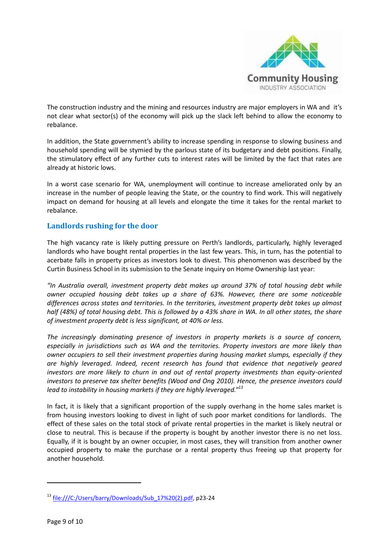

The construction industry and the mining and resources industry are major employers in WA and it's not clear what sector(s) of the economy will pick up the slack left behind to allow the economy to rebalance.

In addition, the State government's ability to increase spending in response to slowing business and household spending will be stymied by the parlous state of its budgetary and debt positions. Finally, the stimulatory effect of any further cuts to interest rates will be limited by the fact that rates are already at historic lows.

In a worst case scenario for WA, unemployment will continue to increase ameliorated only by an increase in the number of people leaving the State, or the country to find work. This will negatively impact on demand for housing at all levels and elongate the time it takes for the rental market to rebalance.

#### **Landlords rushing for the door**

The high vacancy rate is likely putting pressure on Perth's landlords, particularly, highly leveraged landlords who have bought rental properties in the last few years. This, in turn, has the potential to acerbate falls in property prices as investors look to divest. This phenomenon was described by the Curtin Business School in its submission to the Senate inquiry on Home Ownership last year:

*"In Australia overall, investment property debt makes up around 37% of total housing debt while owner occupied housing debt takes up a share of 63%. However, there are some noticeable differences across states and territories. In the territories, investment property debt takes up almost half (48%) of total housing debt. This is followed by a 43% share in WA. In all other states, the share of investment property debt is less significant, at 40% or less.*

*The increasingly dominating presence of investors in property markets is a source of concern, especially in jurisdictions such as WA and the territories. Property investors are more likely than owner occupiers to sell their investment properties during housing market slumps, especially if they are highly leveraged. Indeed, recent research has found that evidence that negatively geared investors are more likely to churn in and out of rental property investments than equity-oriented investors to preserve tax shelter benefits (Wood and Ong 2010). Hence, the presence investors could lead to instability in housing markets if they are highly leveraged."<sup>13</sup>*

In fact, it is likely that a significant proportion of the supply overhang in the home sales market is from housing investors looking to divest in light of such poor market conditions for landlords. The effect of these sales on the total stock of private rental properties in the market is likely neutral or close to neutral. This is because if the property is bought by another investor there is no net loss. Equally, if it is bought by an owner occupier, in most cases, they will transition from another owner occupied property to make the purchase or a rental property thus freeing up that property for another household.

<sup>13</sup> [file:///C:/Users/barry/Downloads/Sub\\_17%20\(2\).pdf,](file:///C:/Users/barry/Downloads/Sub_17%20(2).pdf) p23-24